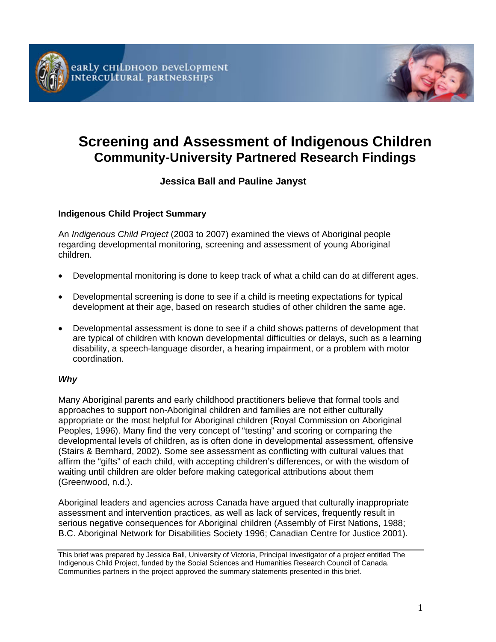



# **Screening and Assessment of Indigenous Children Community-University Partnered Research Findings**

# **Jessica Ball and Pauline Janyst**

## **Indigenous Child Project Summary**

An *Indigenous Child Project* (2003 to 2007) examined the views of Aboriginal people regarding developmental monitoring, screening and assessment of young Aboriginal children.

- Developmental monitoring is done to keep track of what a child can do at different ages.
- Developmental screening is done to see if a child is meeting expectations for typical development at their age, based on research studies of other children the same age.
- Developmental assessment is done to see if a child shows patterns of development that are typical of children with known developmental difficulties or delays, such as a learning disability, a speech-language disorder, a hearing impairment, or a problem with motor coordination.

### *Why*

Many Aboriginal parents and early childhood practitioners believe that formal tools and approaches to support non-Aboriginal children and families are not either culturally appropriate or the most helpful for Aboriginal children (Royal Commission on Aboriginal Peoples, 1996). Many find the very concept of "testing" and scoring or comparing the developmental levels of children, as is often done in developmental assessment, offensive (Stairs & Bernhard, 2002). Some see assessment as conflicting with cultural values that affirm the "gifts" of each child, with accepting children's differences, or with the wisdom of waiting until children are older before making categorical attributions about them (Greenwood, n.d.).

Aboriginal leaders and agencies across Canada have argued that culturally inappropriate assessment and intervention practices, as well as lack of services, frequently result in serious negative consequences for Aboriginal children (Assembly of First Nations, 1988; B.C. Aboriginal Network for Disabilities Society 1996; Canadian Centre for Justice 2001).

This brief was prepared by Jessica Ball, University of Victoria, Principal Investigator of a project entitled The Indigenous Child Project, funded by the Social Sciences and Humanities Research Council of Canada. Communities partners in the project approved the summary statements presented in this brief.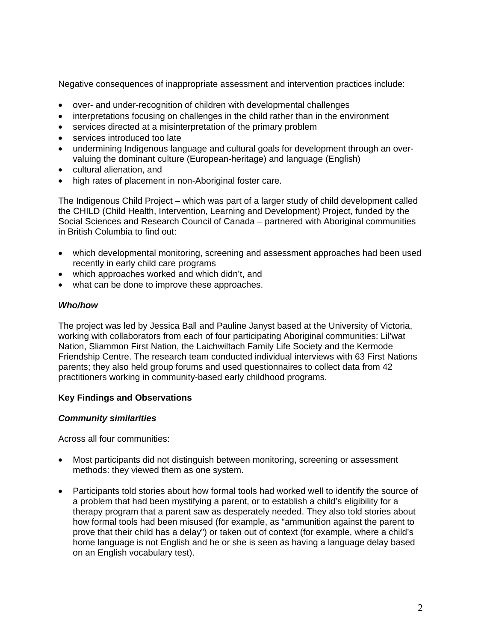Negative consequences of inappropriate assessment and intervention practices include:

- over- and under-recognition of children with developmental challenges
- interpretations focusing on challenges in the child rather than in the environment
- services directed at a misinterpretation of the primary problem
- services introduced too late
- undermining Indigenous language and cultural goals for development through an overvaluing the dominant culture (European-heritage) and language (English)
- cultural alienation, and
- high rates of placement in non-Aboriginal foster care.

The Indigenous Child Project – which was part of a larger study of child development called the CHILD (Child Health, Intervention, Learning and Development) Project, funded by the Social Sciences and Research Council of Canada – partnered with Aboriginal communities in British Columbia to find out:

- which developmental monitoring, screening and assessment approaches had been used recently in early child care programs
- which approaches worked and which didn't, and
- what can be done to improve these approaches.

#### *Who/how*

The project was led by Jessica Ball and Pauline Janyst based at the University of Victoria, working with collaborators from each of four participating Aboriginal communities: Lil'wat Nation, Sliammon First Nation, the Laichwiltach Family Life Society and the Kermode Friendship Centre. The research team conducted individual interviews with 63 First Nations parents; they also held group forums and used questionnaires to collect data from 42 practitioners working in community-based early childhood programs.

### **Key Findings and Observations**

#### *Community similarities*

Across all four communities:

- Most participants did not distinguish between monitoring, screening or assessment methods: they viewed them as one system.
- Participants told stories about how formal tools had worked well to identify the source of a problem that had been mystifying a parent, or to establish a child's eligibility for a therapy program that a parent saw as desperately needed. They also told stories about how formal tools had been misused (for example, as "ammunition against the parent to prove that their child has a delay") or taken out of context (for example, where a child's home language is not English and he or she is seen as having a language delay based on an English vocabulary test).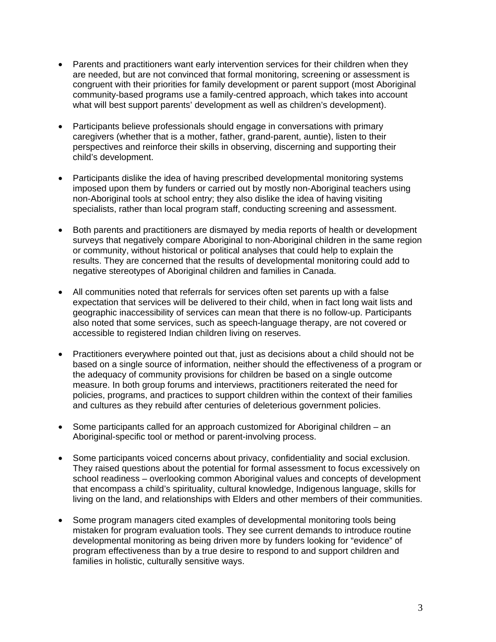- Parents and practitioners want early intervention services for their children when they are needed, but are not convinced that formal monitoring, screening or assessment is congruent with their priorities for family development or parent support (most Aboriginal community-based programs use a family-centred approach, which takes into account what will best support parents' development as well as children's development).
- Participants believe professionals should engage in conversations with primary caregivers (whether that is a mother, father, grand-parent, auntie), listen to their perspectives and reinforce their skills in observing, discerning and supporting their child's development.
- Participants dislike the idea of having prescribed developmental monitoring systems imposed upon them by funders or carried out by mostly non-Aboriginal teachers using non-Aboriginal tools at school entry; they also dislike the idea of having visiting specialists, rather than local program staff, conducting screening and assessment.
- Both parents and practitioners are dismayed by media reports of health or development surveys that negatively compare Aboriginal to non-Aboriginal children in the same region or community, without historical or political analyses that could help to explain the results. They are concerned that the results of developmental monitoring could add to negative stereotypes of Aboriginal children and families in Canada.
- All communities noted that referrals for services often set parents up with a false expectation that services will be delivered to their child, when in fact long wait lists and geographic inaccessibility of services can mean that there is no follow-up. Participants also noted that some services, such as speech-language therapy, are not covered or accessible to registered Indian children living on reserves.
- Practitioners everywhere pointed out that, just as decisions about a child should not be based on a single source of information, neither should the effectiveness of a program or the adequacy of community provisions for children be based on a single outcome measure. In both group forums and interviews, practitioners reiterated the need for policies, programs, and practices to support children within the context of their families and cultures as they rebuild after centuries of deleterious government policies.
- Some participants called for an approach customized for Aboriginal children an Aboriginal-specific tool or method or parent-involving process.
- Some participants voiced concerns about privacy, confidentiality and social exclusion. They raised questions about the potential for formal assessment to focus excessively on school readiness – overlooking common Aboriginal values and concepts of development that encompass a child's spirituality, cultural knowledge, Indigenous language, skills for living on the land, and relationships with Elders and other members of their communities.
- Some program managers cited examples of developmental monitoring tools being mistaken for program evaluation tools. They see current demands to introduce routine developmental monitoring as being driven more by funders looking for "evidence" of program effectiveness than by a true desire to respond to and support children and families in holistic, culturally sensitive ways.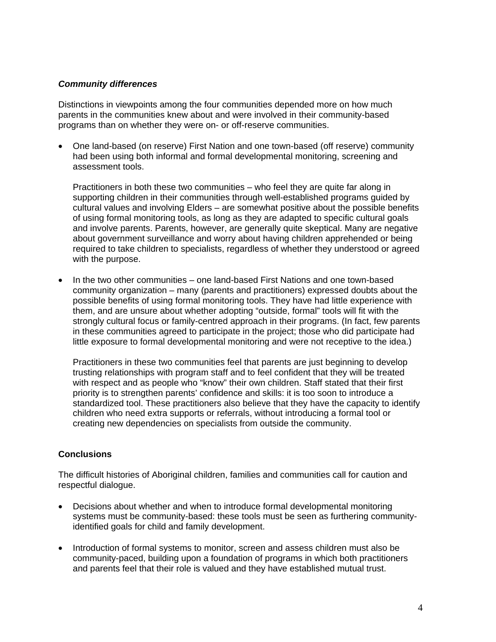#### *Community differences*

Distinctions in viewpoints among the four communities depended more on how much parents in the communities knew about and were involved in their community-based programs than on whether they were on- or off-reserve communities.

• One land-based (on reserve) First Nation and one town-based (off reserve) community had been using both informal and formal developmental monitoring, screening and assessment tools.

Practitioners in both these two communities – who feel they are quite far along in supporting children in their communities through well-established programs guided by cultural values and involving Elders – are somewhat positive about the possible benefits of using formal monitoring tools, as long as they are adapted to specific cultural goals and involve parents. Parents, however, are generally quite skeptical. Many are negative about government surveillance and worry about having children apprehended or being required to take children to specialists, regardless of whether they understood or agreed with the purpose.

• In the two other communities – one land-based First Nations and one town-based community organization – many (parents and practitioners) expressed doubts about the possible benefits of using formal monitoring tools. They have had little experience with them, and are unsure about whether adopting "outside, formal" tools will fit with the strongly cultural focus or family-centred approach in their programs. (In fact, few parents in these communities agreed to participate in the project; those who did participate had little exposure to formal developmental monitoring and were not receptive to the idea.)

Practitioners in these two communities feel that parents are just beginning to develop trusting relationships with program staff and to feel confident that they will be treated with respect and as people who "know" their own children. Staff stated that their first priority is to strengthen parents' confidence and skills: it is too soon to introduce a standardized tool. These practitioners also believe that they have the capacity to identify children who need extra supports or referrals, without introducing a formal tool or creating new dependencies on specialists from outside the community.

### **Conclusions**

The difficult histories of Aboriginal children, families and communities call for caution and respectful dialogue.

- Decisions about whether and when to introduce formal developmental monitoring systems must be community-based: these tools must be seen as furthering communityidentified goals for child and family development.
- Introduction of formal systems to monitor, screen and assess children must also be community-paced, building upon a foundation of programs in which both practitioners and parents feel that their role is valued and they have established mutual trust.